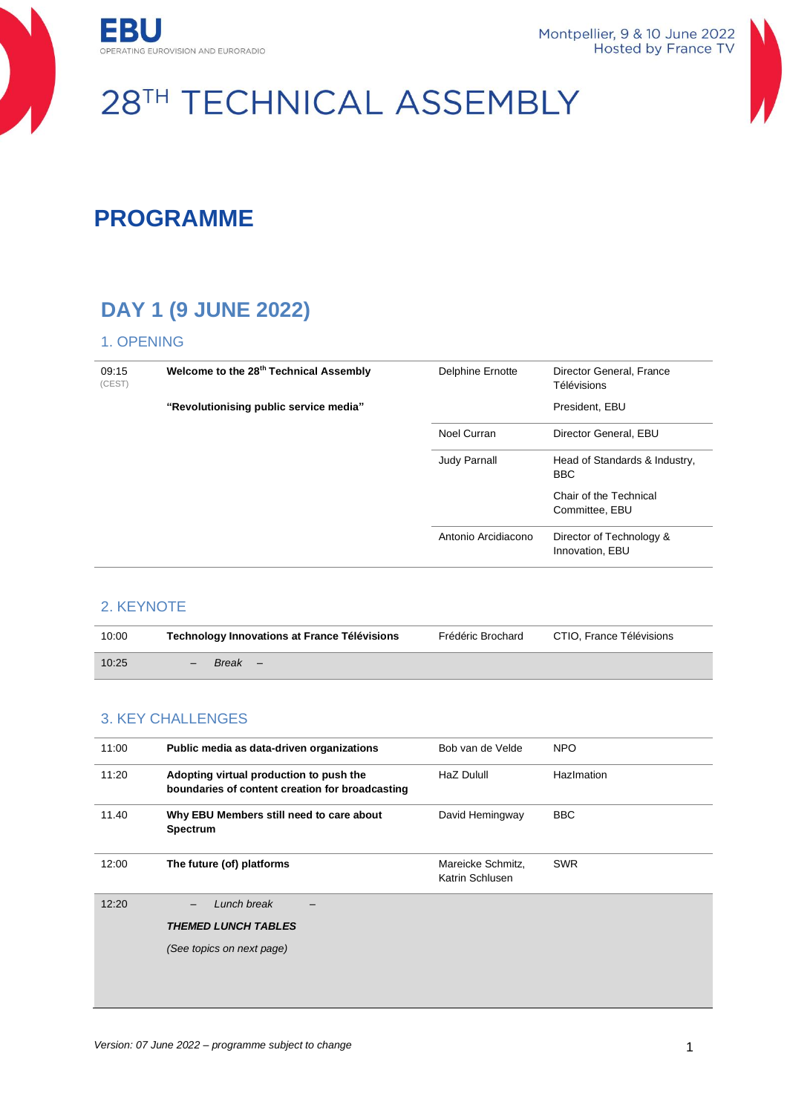



# 28TH TECHNICAL ASSEMBLY

## **PROGRAMME**

### **DAY 1 (9 JUNE 2022)**

#### 1. OPENING

| 09:15<br>(CEST) | Welcome to the 28 <sup>th</sup> Technical Assembly | Delphine Ernotte    | Director General, France<br>Télévisions     |
|-----------------|----------------------------------------------------|---------------------|---------------------------------------------|
|                 | "Revolutionising public service media"             |                     | President, EBU                              |
|                 |                                                    | Noel Curran         | Director General, EBU                       |
|                 |                                                    | <b>Judy Parnall</b> | Head of Standards & Industry,<br><b>BBC</b> |
|                 |                                                    |                     | Chair of the Technical<br>Committee, EBU    |
|                 |                                                    | Antonio Arcidiacono | Director of Technology &<br>Innovation, EBU |

#### 2. KEYNOTE

| 10:00 | <b>Technology Innovations at France Télévisions</b> | Frédéric Brochard | CTIO, France Télévisions |
|-------|-----------------------------------------------------|-------------------|--------------------------|
| 10:25 | Break –                                             |                   |                          |

### 3. KEY CHALLENGES

| 11:00 | Public media as data-driven organizations                                                  | Bob van de Velde                     | <b>NPO</b> |
|-------|--------------------------------------------------------------------------------------------|--------------------------------------|------------|
| 11:20 | Adopting virtual production to push the<br>boundaries of content creation for broadcasting | HaZ Dulull                           | HazImation |
| 11.40 | Why EBU Members still need to care about<br><b>Spectrum</b>                                | David Hemingway                      | <b>BBC</b> |
| 12:00 | The future (of) platforms                                                                  | Mareicke Schmitz,<br>Katrin Schlusen | <b>SWR</b> |
| 12:20 | Lunch break                                                                                |                                      |            |
|       | <b>THEMED LUNCH TABLES</b>                                                                 |                                      |            |
|       | (See topics on next page)                                                                  |                                      |            |
|       |                                                                                            |                                      |            |
|       |                                                                                            |                                      |            |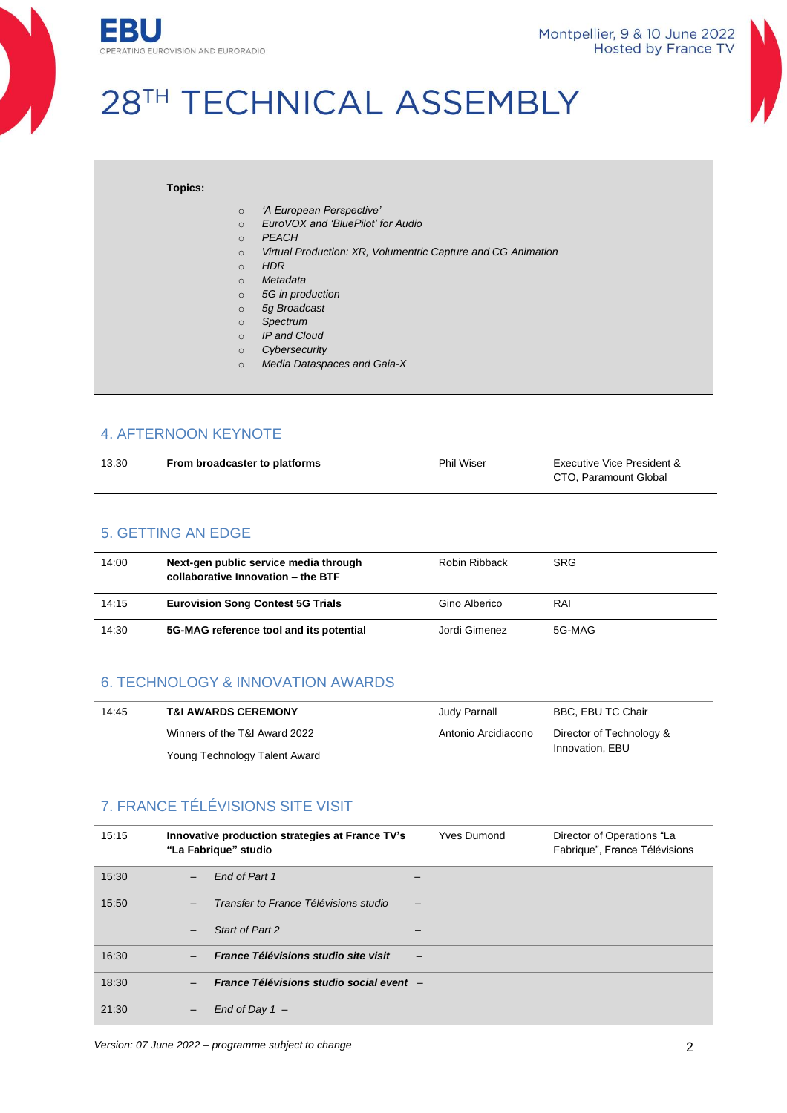

Montpellier, 9 & 10 June 2022 **Hosted by France TV** 

## 28TH TECHNICAL ASSEMBLY

#### **Topics:**

- o *'A European Perspective'*
- o *EuroVOX and 'BluePilot' for Audio*
- o *PEACH*
- o *Virtual Production: XR, Volumentric Capture and CG Animation*
- o *HDR*
- o *Metadata*
- o *5G in production*
- o *5g Broadcast*
- o *Spectrum*
- o *IP and Cloud*
- o *Cybersecurity*
- o *Media Dataspaces and Gaia-X*

#### 4. AFTERNOON KEYNOTE

| 13.30 | From broadcaster to platforms | <b>Phil Wiser</b> | Executive Vice President & |
|-------|-------------------------------|-------------------|----------------------------|
|       |                               |                   | CTO, Paramount Global      |

#### 5. GETTING AN EDGE

| 14:00 | Next-gen public service media through<br>collaborative Innovation - the BTF | Robin Ribback | <b>SRG</b> |
|-------|-----------------------------------------------------------------------------|---------------|------------|
| 14:15 | <b>Eurovision Song Contest 5G Trials</b>                                    | Gino Alberico | RAI        |
| 14:30 | 5G-MAG reference tool and its potential                                     | Jordi Gimenez | 5G-MAG     |

#### 6. TECHNOLOGY & INNOVATION AWARDS

| 14:45 | <b>T&amp;I AWARDS CEREMONY</b> | Judy Parnall        | BBC, EBU TC Chair        |
|-------|--------------------------------|---------------------|--------------------------|
|       | Winners of the T&I Award 2022  | Antonio Arcidiacono | Director of Technology & |
|       | Young Technology Talent Award  |                     | Innovation, EBU          |

#### 7. FRANCE TÉLÉVISIONS SITE VISIT

| 15:15 |                          | Innovative production strategies at France TV's<br>"La Fabrique" studio | <b>Yves Dumond</b> | Director of Operations "La<br>Fabrique", France Télévisions |
|-------|--------------------------|-------------------------------------------------------------------------|--------------------|-------------------------------------------------------------|
| 15:30 | $\overline{\phantom{0}}$ | End of Part 1                                                           |                    |                                                             |
| 15:50 |                          | Transfer to France Télévisions studio                                   |                    |                                                             |
|       |                          | Start of Part 2                                                         |                    |                                                             |
| 16:30 |                          | France Télévisions studio site visit                                    |                    |                                                             |
| 18:30 |                          | France Télévisions studio social event -                                |                    |                                                             |
| 21:30 |                          | End of Day $1 -$                                                        |                    |                                                             |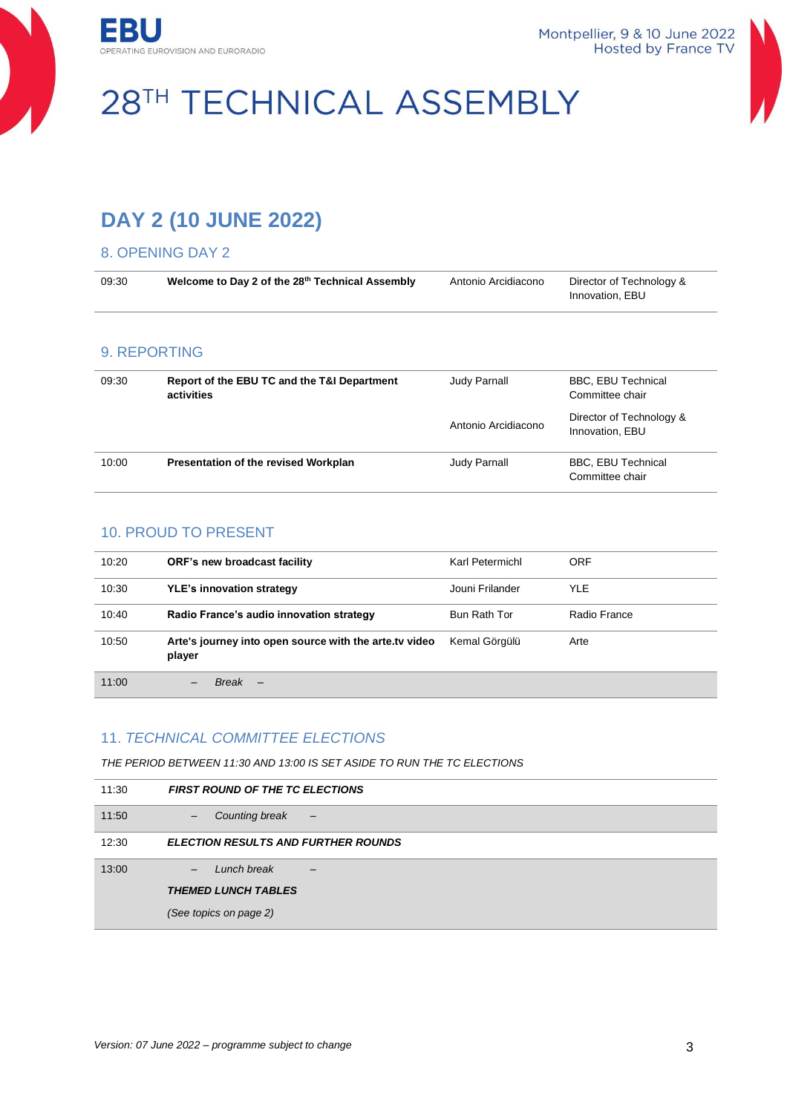



# 28TH TECHNICAL ASSEMBLY

### **DAY 2 (10 JUNE 2022)**

#### 8. OPENING DAY 2

| 09:30 | Welcome to Day 2 of the 28th Technical Assembly           | Antonio Arcidiacono | Director of Technology &<br>Innovation, EBU  |
|-------|-----------------------------------------------------------|---------------------|----------------------------------------------|
|       | 9. REPORTING                                              |                     |                                              |
| 09:30 | Report of the EBU TC and the T&I Department<br>activities | Judy Parnall        | <b>BBC, EBU Technical</b><br>Committee chair |
|       |                                                           | Antonio Arcidiacono | Director of Technology &<br>Innovation, EBU  |
| 10:00 | Presentation of the revised Workplan                      | Judy Parnall        | <b>BBC, EBU Technical</b><br>Committee chair |

#### 10. PROUD TO PRESENT

| 10:20 | ORF's new broadcast facility                                     | Karl Petermichl | ORF          |
|-------|------------------------------------------------------------------|-----------------|--------------|
| 10:30 | <b>YLE's innovation strategy</b>                                 | Jouni Frilander | <b>YLE</b>   |
| 10:40 | Radio France's audio innovation strategy                         | Bun Rath Tor    | Radio France |
| 10:50 | Arte's journey into open source with the arte.ty video<br>player | Kemal Görgülü   | Arte         |
| 11:00 | Break                                                            |                 |              |

#### 11. *TECHNICAL COMMITTEE ELECTIONS*

*THE PERIOD BETWEEN 11:30 AND 13:00 IS SET ASIDE TO RUN THE TC ELECTIONS*

| 11:30 | <b>FIRST ROUND OF THE TC ELECTIONS</b>            |
|-------|---------------------------------------------------|
| 11:50 | Counting break<br>$-$<br>$\overline{\phantom{m}}$ |
| 12:30 | <b>ELECTION RESULTS AND FURTHER ROUNDS</b>        |
| 13:00 | Lunch break                                       |
|       | <b>THEMED LUNCH TABLES</b>                        |
|       | (See topics on page 2)                            |